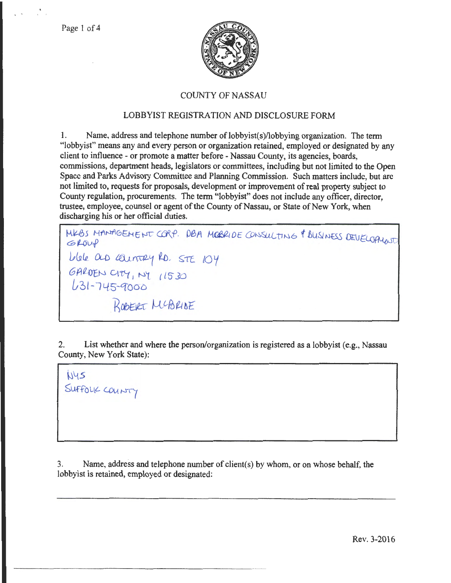

## COUNTY OF NASSAU

## LOBBYIST REGISTRATION AND DISCLOSURE FORM

1. Name, address and telephone number of lobbyist(s)/lobbying organization. The term "lobbyist" means any and every person or organization retained, employed or designated by any client to influence - or promote a matter before -Nassau County, its agencies, boards, commissions, department heads, legislators or committees, including but not limited to the Open Space and Parks Advisory Committee and Planning Commission. Such matters include, but are not limited to, requests for proposals, development or improvement of real property subject to County regulation, procurements. The term "lobbyist" does not include any officer, director, trustee, employee, counsel or agent of the County of Nassau, or State of New York, when discharging his or her official duties.

WEBS MANAGEMENT CORP. DBA MOBRIDE CONSULTING & BUSINESS DEVELOPILANT lAfll.R\_ (U) tl1;J'--u2-~ i.D. ~LE *lOy*  GALDEN CITY, NY 11530  $L$ 31-745-9000 ROBERT MCBRIDE

2. List whether and where the person/organization is registered as a lobbyist (e.g., Nassau County, New York State):

 $N45$ SUFFOLK COUNTY

------- - --- - - - - - -- -

3. Name, address and telephone number of client(s) by whom, or on whose behalf, the lobbyist is retained, employed or designated: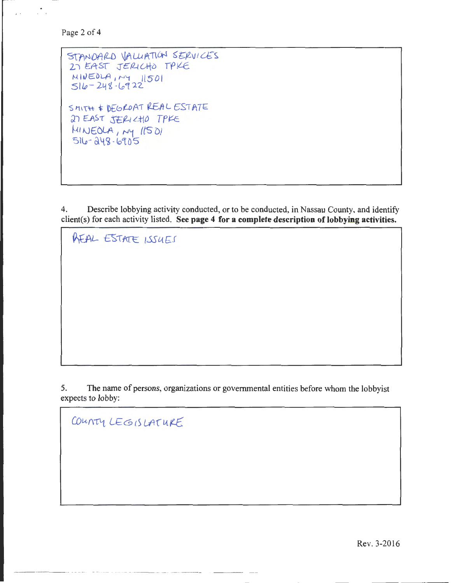Page 2 of 4

 $\mathbf{r}$  .  $\mathbf{r}$ 

 $5TANDARD$  VALUATION SERVICES 27 EAST JERICHO TPKE  $N|N \in \partial L A$ ,  $NY$  1501  $516-248.6922$  $S$ MITH  $*$  DEGROAT REAL ESTATE 27 EAST JERICHO TPKE  $MINEOLA$ ,  $ny$   $lts$   $0l$  $516 - 248 - 6905$ 

4. Describe lobbying activity conducted, or to be conducted, in Nassau County, and identify client(s) for each activity listed. **See page 4 for a complete description of lobbying activities.** 

**AEAL ESTATE ISSUES** 

5. The name of persons, organizations or governmental entities before whom the lobbyist expects to lobby:

COUNTY LEGISLATURE

Rev. 3-2016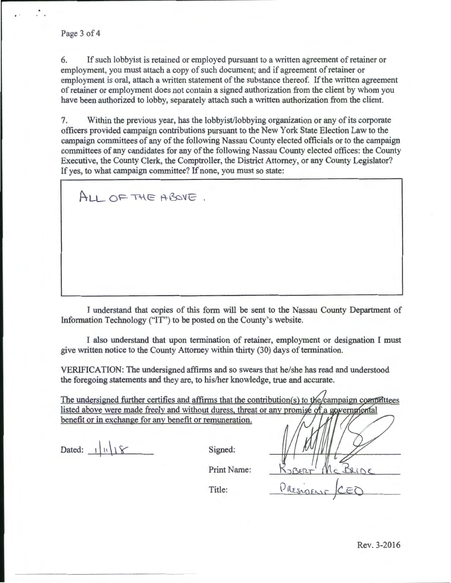..

6. If such lobbyist is retained or employed pursuant to a written agreement of retainer or employment, you must attach a copy of such document; and if agreement of retainer or employment is oral, attach a written statement of the substance thereof. If the written agreement of retainer or employment does not contain a signed authorization from the client by whom you have been authorized to lobby, separately attach such a written authorization from the client.

7. Within the previous year, has the lobbyist/lobbying organization or any of its corporate officers provided campaign contributions pursuant to the New York State Election Law to the campaign committees of any of the following Nassau County elected officials or to the campaign committees of any candidates for any of the following Nassau County elected offices: the County Executive, the County Clerk, the Comptroller, the District Attorney, or any County Legislator? If yes, to what campaign committee? If none, you must so state:

ALL OF THE ABOVE.

I understand that copies of this form will be sent to the Nassau County Department of Information Technology ("IT") to be posted on the County's website.

I also understand that upon termination of retainer, employment or designation I must give written notice to the County Attorney within thirty (30) days of termination.

VERIFICATION: The undersigned affirms and so swears that he/she has read and understood the foregoing statements and they are, to his/her knowledge, true and accurate.

The undersigned further certifies and affirms that the contribution(s) to the campaign compattees listed above were made freely and without duress, threat or any promise of a governmental benefit or in exchange for any benefit or remuneration.

Dated:  $\left| \ \ \vert \ \ \vert \ \right| \$  Signed:

Print Name:

Title:

PRESIDENT CEC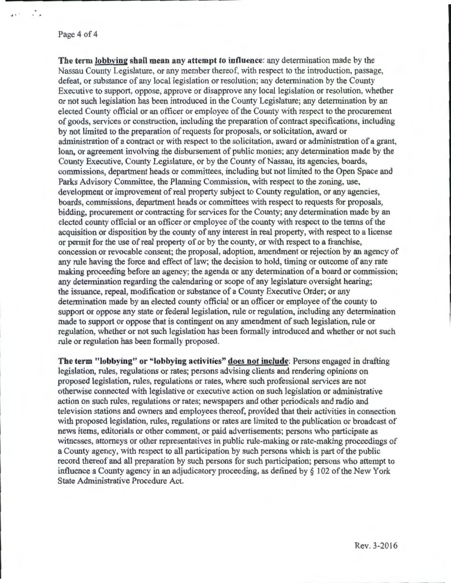#### Page 4 of 4

.. .

 $\mathcal{L}_{\mathbf{r}}$ 

The term lobbying shall mean any attempt to influence: any determination made by the Nassau County Legislature, or any member thereof, with respect to the introduction, passage, defeat, or substance of any local legislation or resolution; any determination by the County Executive to support, oppose, approve or disapprove any local legislation or resolution, whether or not such legislation has been introduced in the County Legislature; any determination by an elected County official or an officer or employee of the County with respect to the procurement of goods, services or construction, including the preparation of contract specifications, including by not limited to the preparation of requests for proposals, or solicitation, award or administration of a contract or with respect to the solicitation, award or administration of a grant, loan, or agreement involving the disbursement of public monies; any determination made by the County Executive, County Legislature, or by the County of Nassau, its agencies, boards, commissions, department heads or committees, including but not limited to the Open Space and Parks Advisory Committee, the Planning Commission, with respect to the zoning, use, development or improvement of real property subject to County regulation, or any agencies, boards, commissions, department heads or committees with respect to requests for proposals, bidding, procurement or contracting for services for the County; any determination made by an elected county official or an officer or employee of the county with respect to the terms of the acquisition or disposition by the county of any interest in real property, with respect to a license or permit for the use of real property of or by the county, or with respect to a franchise, concession or revocable consent; the proposal, adoption, amendment or rejection by an agency of any rule having the force and effect of law; the decision to hold, timing or outcome of any rate making proceeding before an agency; the agenda or any determination of a board or commission; any determination regarding the calendaring or scope of any legislature oversight hearing; the issuance, repeal, modification or substance of a County Executive Order; or any determination made by an elected county official or an officer or employee of the county to support or oppose any state or federal legislation, rule or regulation, including any determination made to support or oppose that is contingent on any amendment of such legislation, rule or regulation, whether or not such legislation has been formally introduced and whether or not such rule or regulation has been formally proposed.

The term "lobbying" or "lobbying activities" does not include: Persons engaged in drafting legislation, rules, regulations or rates; persons advising clients and rendering opinions on proposed legislation, rules, regulations or rates, where such professional services are not otherwise connected with legislative or executive action on such legislation or administrative action on such rules, regulations or rates; newspapers and other periodicals and radio and television stations and owners and employees thereof, provided that their activities in connection with proposed legislation, rules, regulations or rates are limited to the publication or broadcast of news items, editorials or other comment, or paid advertisements; persons who participate as witnesses, attorneys or other representatives in public rule-making or rate-making proceedings of a County agency, with respect to all participation by such persons which is part of the public record thereof and all preparation by such persons for such participation; persons who attempt to influence a County agency in an adjudicatory proceeding, as defined by  $\S$  102 of the New York State Administrative Procedure Act.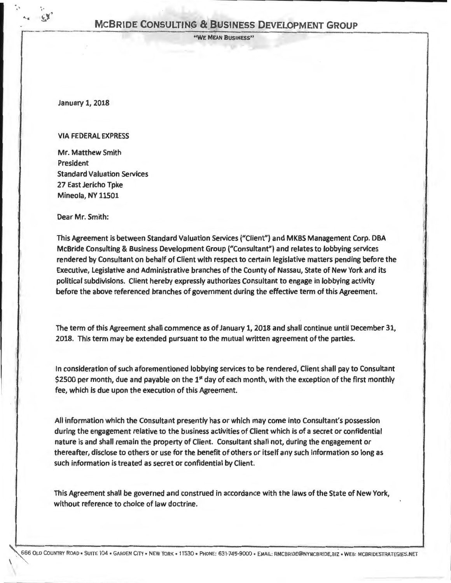''WE MEAN BUSINESS"

January 1, 2018

: !o I .i I

 $-45$ 

I I

#### VIA FEDERAL EXPRESS

Mr. Matthew Smith President Standard Valuation Services 27 East Jericho Tpke Mineola, NY 11501

Dear Mr. Smith:

This Agreement is between Standard Valuation Services ("Client") and MKBS Management Corp. DBA McBride Consulting & Business Development Group ("Consultant") and relates to lobbying services rendered by Consultant on behalf of Client with respect to certain legislative matters pending before the Executive, Legislative and Administrative branches of the County of Nassau, State of New York and its political subdivisions. Client hereby expressly authorizes Consultant to engage in lobbying activity before the above referenced branches of government during the effective term of this Agreement.

The term of this Agreement shall commence as of January 1, 2018 and shall continue until December 31, 2018. This term may be extended pursuant to the mutual written agreement of the parties.

In consideration of such aforementioned lobbying services to be rendered, Client shall pay to Consultant \$2500 per month, due and payable on the  $1<sup>st</sup>$  day of each month, with the exception of the first monthly fee, which is due upon the execution of this Agreement.

All information which the Consultant presently has or which may come into Consultant's possession during the engagement relative to the business activities of Client which is of a secret or confidential nature is and shall remain the property of Client. Consultant shall not, during the engagement or thereafter, disclose to others or use for the benefit of others or itself any such information so long as such information is treated as secret or confidential by Client.

This Agreement shall be governed and construed in accordance with the laws of the State of New York, without reference to choice of law doctrine.

666 OLD COUNTRY ROAD • SUITE 104 • GARDEN CITY • NEW YORK • 11530 • PHONE: 631-745-9000 • EMAIL: RMCBRIDE@NYMCBRIDE,BIZ • WEB: MCBRIDESTRATEGIES.NET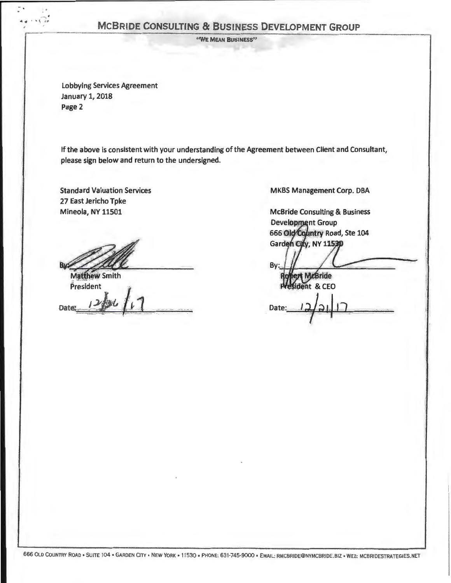"WE MEAN BUSINESS"

Lobbying Services Agreement January 1, 2018 Page 2

ţ.

If the above is consistent with your understanding of the Agreement between Client and Consultant, please sign below and return to the undersigned.

Standard Valuation Services 27 East Jericho Tpke Mineola, NY 11501

**Matthew Smith**  $P$ resident

 $J \times N$ Dates  $12/36/6$ 

MKBS Management Corp. DBA

**McBride Consulting & Business Development Group** 666 Old Country Road, Ste 104 Garden City, NY 11530

Bv **Bride CEO Date**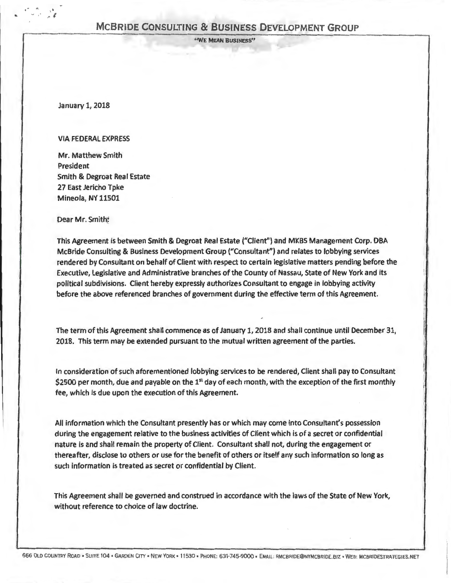' 'WE MEAN BUSINESS"

January 1, 2018

 $e^{\pm}$  .  $e$  .  $\frac{1}{2}$  $\frac{a_i}{\sqrt{2}}$ 

#### VIA FEDERAL EXPRESS

Mr. Matthew Smith President Smith & Degroat Real Estate 27 East Jericho Tpke Mineola, NY 11501

Dear Mr. Smith;

This Agreement is between Smith & Degroat Real Estate ("Client") and MKBS Management Corp. DBA McBride Consulting & Business Development Group ("Consultant") and relates to lobbying services rendered by Consultant on behalf of Client with respect to certain legislative matters pending before the Executive, Legislative and Administrative branches of the County of Nassau, State of New York and its political subdivisions. Client hereby expressly authorizes Consultant to engage in lobbying activity before the above referenced branches of government during the effective term of this Agreement.

The term of this Agreement shall commence as of January 1, 2018 and shall continue until December 31, 2018. This term may be extended pursuant to the mutual written agreement of the parties.

In consideration of such aforementioned lobbying services to be rendered, Client shall pay to Consultant \$2500 per month, due and payable on the  $1<sup>st</sup>$  day of each month, with the exception of the first monthly fee, which is due upon the execution of this Agreement.

i I I I *!* 

All information which the Consultant presently has or which may come into Consultant's possession during the engagement relative to the business activities of Client which is of a secret or confidential nature is and shall remain the property of Client. Consultant shall *not,* during the engagement or thereafter, disclose to others or use for the benefit of others or itself any such information so long as such information is treated as secret or confidential by Client.

This Agreement shall be governed and construed in accordance with the laws of the State of New York, without reference to choice of law doctrine.